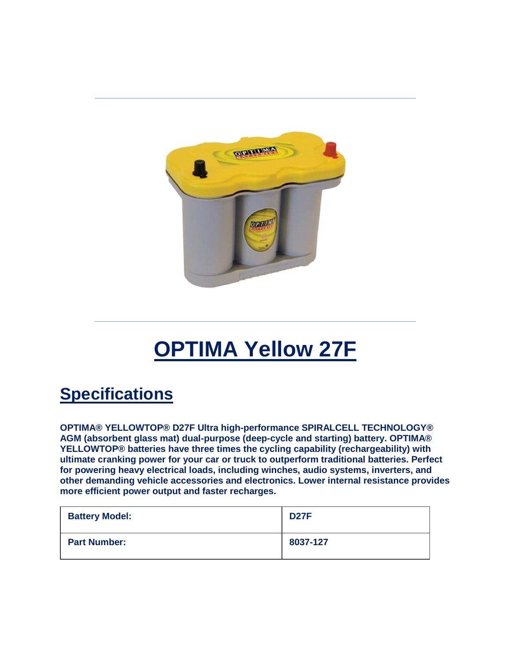

## **OPTIMA Yellow 27F**

## **Specifications**

**OPTIMA® YELLOWTOP® D27F Ultra high-performance SPIRALCELL TECHNOLOGY® AGM (absorbent glass mat) dual-purpose (deep-cycle and starting) battery. OPTIMA® YELLOWTOP® batteries have three times the cycling capability (rechargeability) with ultimate cranking power for your car or truck to outperform traditional batteries. Perfect for powering heavy electrical loads, including winches, audio systems, inverters, and other demanding vehicle accessories and electronics. Lower internal resistance provides more efficient power output and faster recharges.**

| <b>Battery Model:</b> | <b>D27F</b> |
|-----------------------|-------------|
| <b>Part Number:</b>   | 8037-127    |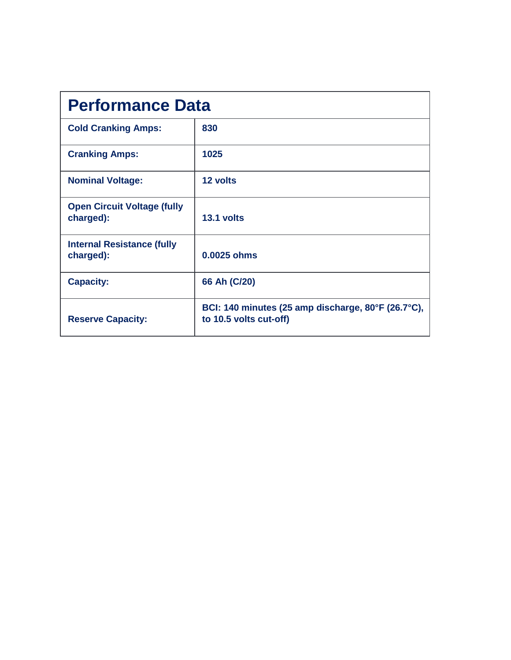| <b>Performance Data</b>                         |                                                                              |  |
|-------------------------------------------------|------------------------------------------------------------------------------|--|
| <b>Cold Cranking Amps:</b>                      | 830                                                                          |  |
| <b>Cranking Amps:</b>                           | 1025                                                                         |  |
| <b>Nominal Voltage:</b>                         | 12 volts                                                                     |  |
| <b>Open Circuit Voltage (fully</b><br>charged): | 13.1 volts                                                                   |  |
| <b>Internal Resistance (fully</b><br>charged):  | $0.0025$ ohms                                                                |  |
| <b>Capacity:</b>                                | 66 Ah (C/20)                                                                 |  |
| <b>Reserve Capacity:</b>                        | BCI: 140 minutes (25 amp discharge, 80°F (26.7°C),<br>to 10.5 volts cut-off) |  |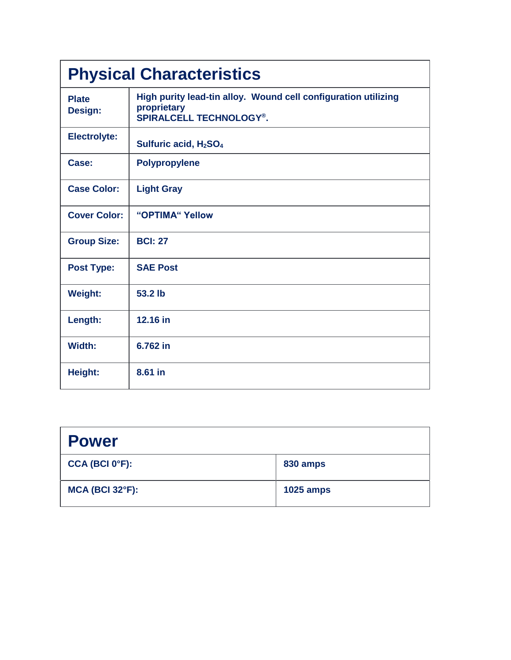| <b>Physical Characteristics</b> |                                                                                                                 |  |
|---------------------------------|-----------------------------------------------------------------------------------------------------------------|--|
| <b>Plate</b><br>Design:         | High purity lead-tin alloy. Wound cell configuration utilizing<br>proprietary<br><b>SPIRALCELL TECHNOLOGY®.</b> |  |
| <b>Electrolyte:</b>             | Sulfuric acid, H <sub>2</sub> SO <sub>4</sub>                                                                   |  |
| Case:                           | <b>Polypropylene</b>                                                                                            |  |
| <b>Case Color:</b>              | <b>Light Gray</b>                                                                                               |  |
| <b>Cover Color:</b>             | "OPTIMA" Yellow                                                                                                 |  |
| <b>Group Size:</b>              | <b>BCI: 27</b>                                                                                                  |  |
| <b>Post Type:</b>               | <b>SAE Post</b>                                                                                                 |  |
| <b>Weight:</b>                  | 53.2 lb                                                                                                         |  |
| Length:                         | 12.16 in                                                                                                        |  |
| Width:                          | 6.762 in                                                                                                        |  |
| Height:                         | 8.61 in                                                                                                         |  |

| <b>Power</b>                |                  |
|-----------------------------|------------------|
| CCA (BCI 0 <sup>o</sup> F): | 830 amps         |
| $MCA$ (BCI 32 $\degree$ F): | <b>1025 amps</b> |